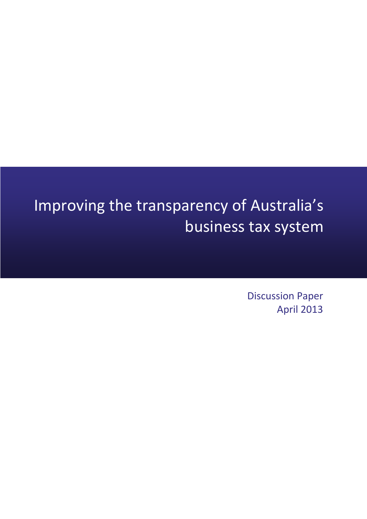# Improving the transparency of Australia's business tax system

Discussion Paper April 2013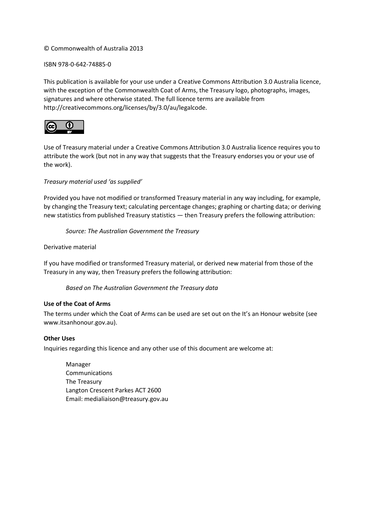#### © Commonwealth of Australia 2013

#### ISBN 978-0-642-74885-0

This publication is available for your use under a [Creative Commons Attribution 3.0 Australia](http://creativecommons.org/licenses/by/3.0/au/deed.en) licence, with the exception of the Commonwealth Coat of Arms, the Treasury logo, photographs, images, signatures and where otherwise stated. The full licence terms are available from [http://creativecommons.org/licenses/by/3.0/au/legalcode.](http://creativecommons.org/licenses/by/3.0/au/legalcode)



Use of Treasury material under a [Creative Commons Attribution 3.0 Australia](http://creativecommons.org/licenses/by/3.0/au/deed.en) licence requires you to attribute the work (but not in any way that suggests that the Treasury endorses you or your use of the work).

*Treasury material used 'as supplied'* 

Provided you have not modified or transformed Treasury material in any way including, for example, by changing the Treasury text; calculating percentage changes; graphing or charting data; or deriving new statistics from published Treasury statistics — then Treasury prefers the following attribution:

*Source: The Australian Government the Treasury*

Derivative material

If you have modified or transformed Treasury material, or derived new material from those of the Treasury in any way, then Treasury prefers the following attribution:

*Based on The Australian Government the Treasury data*

#### **Use of the Coat of Arms**

The terms under which the Coat of Arms can be used are set out on the It's an Honour website (see [www.itsanhonour.gov.au\)](http://www.itsanhonour.gov.au/).

#### **Other Uses**

Inquiries regarding this licence and any other use of this document are welcome at:

Manager Communications The Treasury Langton Crescent Parkes ACT 2600 Email: [medialiaison@treasury.gov.au](mailto:medialiaison@treasury.gov.au)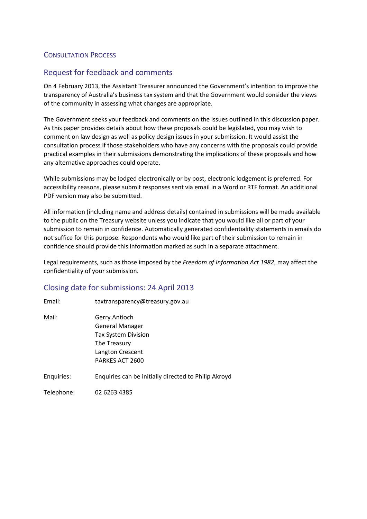### CONSULTATION PROCESS

### Request for feedback and comments

On 4 February 2013, the Assistant Treasurer announced the Government's intention to improve the transparency of Australia's business tax system and that the Government would consider the views of the community in assessing what changes are appropriate.

The Government seeks your feedback and comments on the issues outlined in this discussion paper. As this paper provides details about how these proposals could be legislated, you may wish to comment on law design as well as policy design issues in your submission. It would assist the consultation process if those stakeholders who have any concerns with the proposals could provide practical examples in their submissions demonstrating the implications of these proposals and how any alternative approaches could operate.

While submissions may be lodged electronically or by post, electronic lodgement is preferred. For accessibility reasons, please submit responses sent via email in a Word or RTF format. An additional PDF version may also be submitted.

All information (including name and address details) contained in submissions will be made available to the public on the Treasury website unless you indicate that you would like all or part of your submission to remain in confidence. Automatically generated confidentiality statements in emails do not suffice for this purpose. Respondents who would like part of their submission to remain in confidence should provide this information marked as such in a separate attachment.

Legal requirements, such as those imposed by the *Freedom of Information Act 1982*, may affect the confidentiality of your submission.

### Closing date for submissions: 24 April 2013

| Email:     | taxtransparency@treasury.gov.au                      |  |  |
|------------|------------------------------------------------------|--|--|
| Mail:      | <b>Gerry Antioch</b>                                 |  |  |
|            | <b>General Manager</b>                               |  |  |
|            | <b>Tax System Division</b>                           |  |  |
|            | The Treasury                                         |  |  |
|            | Langton Crescent                                     |  |  |
|            | PARKES ACT 2600                                      |  |  |
| Enquiries: | Enquiries can be initially directed to Philip Akroyd |  |  |
| Telephone: | 02 6263 4385                                         |  |  |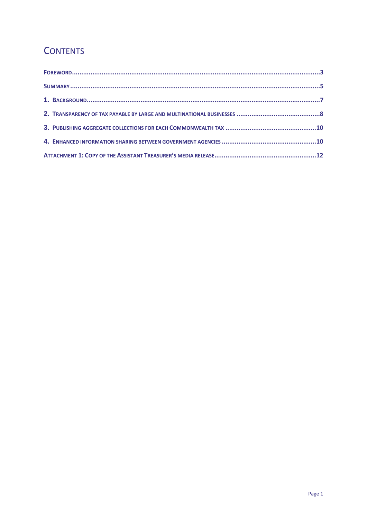## **CONTENTS**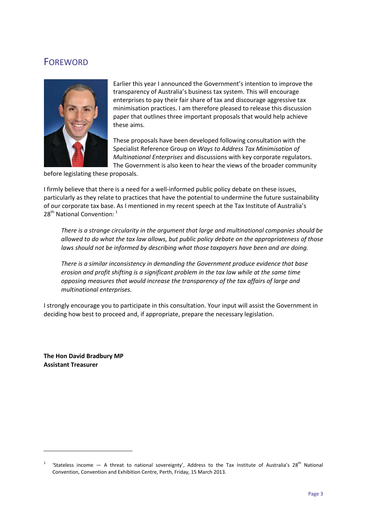### FOREWORD



Earlier this year I announced the Government's intention to improve the transparency of Australia's business tax system. This will encourage enterprises to pay their fair share of tax and discourage aggressive tax minimisation practices. I am therefore pleased to release this discussion paper that outlines three important proposals that would help achieve these aims.

These proposals have been developed following consultation with the Specialist Reference Group on *Ways to Address Tax Minimisation of Multinational Enterprises* and discussions with key corporate regulators. The Government is also keen to hear the views of the broader community

before legislating these proposals.

I firmly believe that there is a need for a well-informed public policy debate on these issues, particularly as they relate to practices that have the potential to undermine the future sustainability of our corporate tax base. As I mentioned in my recent speech at the Tax Institute of Australia's 28<sup>th</sup> National Convention: <sup>[1](#page-6-0)</sup>

*There is a strange circularity in the argument that large and multinational companies should be allowed to do what the tax law allows, but public policy debate on the appropriateness of those laws should not be informed by describing what those taxpayers have been and are doing.*

*There is a similar inconsistency in demanding the Government produce evidence that base erosion and profit shifting is a significant problem in the tax law while at the same time opposing measures that would increase the transparency of the tax affairs of large and multinational enterprises.*

I strongly encourage you to participate in this consultation. Your input will assist the Government in deciding how best to proceed and, if appropriate, prepare the necessary legislation.

**The Hon David Bradbury MP Assistant Treasurer**

**.** 

<span id="page-6-0"></span><sup>1</sup> 'Stateless income  $-$  A threat to national sovereignty', Address to the Tax Institute of Australia's 28<sup>th</sup> National Convention, Convention and Exhibition Centre, Perth, Friday, 15 March 2013.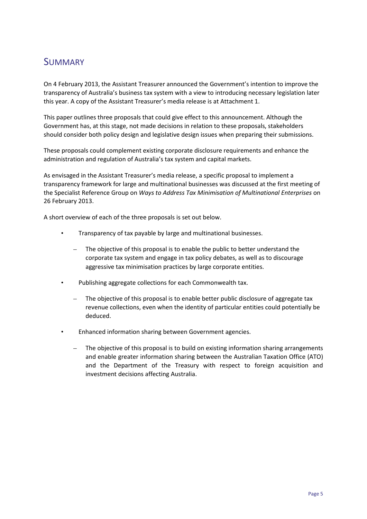### SUMMARY

On 4 February 2013, the Assistant Treasurer announced the Government's intention to improve the transparency of Australia's business tax system with a view to introducing necessary legislation later this year. A copy of the Assistant Treasurer's media release is at Attachment 1.

This paper outlines three proposals that could give effect to this announcement. Although the Government has, at this stage, not made decisions in relation to these proposals, stakeholders should consider both policy design and legislative design issues when preparing their submissions.

These proposals could complement existing corporate disclosure requirements and enhance the administration and regulation of Australia's tax system and capital markets.

As envisaged in the Assistant Treasurer's media release, a specific proposal to implement a transparency framework for large and multinational businesses was discussed at the first meeting of the Specialist Reference Group on *Ways to Address Tax Minimisation of Multinational Enterprises* on 26 February 2013.

A short overview of each of the three proposals is set out below.

- Transparency of tax payable by large and multinational businesses.
	- The objective of this proposal is to enable the public to better understand the corporate tax system and engage in tax policy debates, as well as to discourage aggressive tax minimisation practices by large corporate entities.
- Publishing aggregate collections for each Commonwealth tax.
	- The objective of this proposal is to enable better public disclosure of aggregate tax revenue collections, even when the identity of particular entities could potentially be deduced.
- Enhanced information sharing between Government agencies.
	- The objective of this proposal is to build on existing information sharing arrangements and enable greater information sharing between the Australian Taxation Office (ATO) and the Department of the Treasury with respect to foreign acquisition and investment decisions affecting Australia.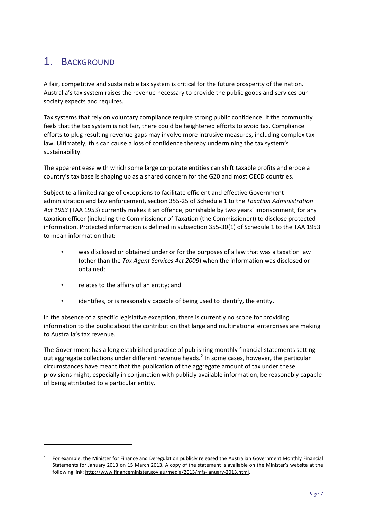# 1. BACKGROUND

A fair, competitive and sustainable tax system is critical for the future prosperity of the nation. Australia's tax system raises the revenue necessary to provide the public goods and services our society expects and requires.

Tax systems that rely on voluntary compliance require strong public confidence. If the community feels that the tax system is not fair, there could be heightened efforts to avoid tax. Compliance efforts to plug resulting revenue gaps may involve more intrusive measures, including complex tax law. Ultimately, this can cause a loss of confidence thereby undermining the tax system's sustainability.

The apparent ease with which some large corporate entities can shift taxable profits and erode a country's tax base is shaping up as a shared concern for the G20 and most OECD countries.

Subject to a limited range of exceptions to facilitate efficient and effective Government administration and law enforcement, section 355-25 of Schedule 1 to the *Taxation Administration Act 1953* (TAA 1953) currently makes it an offence, punishable by two years' imprisonment, for any taxation officer (including the Commissioner of Taxation (the Commissioner)) to disclose protected information. Protected information is defined in subsection 355-30(1) of Schedule 1 to the TAA 1953 to mean information that:

- was disclosed or obtained under or for the purposes of a law that was a taxation law (other than the *Tax Agent Services Act 2009*) when the information was disclosed or obtained;
- relates to the affairs of an entity; and

**.** 

• identifies, or is reasonably capable of being used to identify, the entity.

In the absence of a specific legislative exception, there is currently no scope for providing information to the public about the contribution that large and multinational enterprises are making to Australia's tax revenue.

The Government has a long established practice of publishing monthly financial statements setting out aggregate collections under different revenue heads.<sup>[2](#page-10-0)</sup> In some cases, however, the particular circumstances have meant that the publication of the aggregate amount of tax under these provisions might, especially in conjunction with publicly available information, be reasonably capable of being attributed to a particular entity.

<span id="page-10-0"></span><sup>2</sup> For example, the Minister for Finance and Deregulation publicly released the Australian Government Monthly Financial Statements for January 2013 on 15 March 2013. A copy of the statement is available on the Minister's website at the following link[: http://www.financeminister.gov.au/media/2013/mfs-january-2013.html.](http://www.financeminister.gov.au/media/2013/mfs-january-2013.html)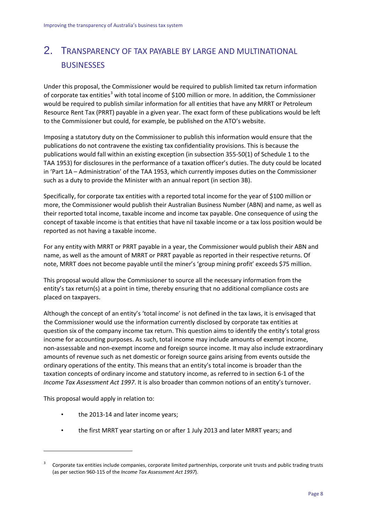# 2. TRANSPARENCY OF TAX PAYABLE BY LARGE AND MULTINATIONAL **BUSINESSES**

Under this proposal, the Commissioner would be required to publish limited tax return information of corporate tax entities<sup>[3](#page-11-0)</sup> with total income of \$100 million or more. In addition, the Commissioner would be required to publish similar information for all entities that have any MRRT or Petroleum Resource Rent Tax (PRRT) payable in a given year. The exact form of these publications would be left to the Commissioner but could, for example, be published on the ATO's website.

Imposing a statutory duty on the Commissioner to publish this information would ensure that the publications do not contravene the existing tax confidentiality provisions. This is because the publications would fall within an existing exception (in subsection 355-50(1) of Schedule 1 to the TAA 1953) for disclosures in the performance of a taxation officer's duties. The duty could be located in 'Part 1A – Administration' of the TAA 1953, which currently imposes duties on the Commissioner such as a duty to provide the Minister with an annual report (in section 3B).

Specifically, for corporate tax entities with a reported total income for the year of \$100 million or more, the Commissioner would publish their Australian Business Number (ABN) and name, as well as their reported total income, taxable income and income tax payable. One consequence of using the concept of taxable income is that entities that have nil taxable income or a tax loss position would be reported as not having a taxable income.

For any entity with MRRT or PRRT payable in a year, the Commissioner would publish their ABN and name, as well as the amount of MRRT or PRRT payable as reported in their respective returns. Of note, MRRT does not become payable until the miner's 'group mining profit' exceeds \$75 million.

This proposal would allow the Commissioner to source all the necessary information from the entity's tax return(s) at a point in time, thereby ensuring that no additional compliance costs are placed on taxpayers.

Although the concept of an entity's 'total income' is not defined in the tax laws, it is envisaged that the Commissioner would use the information currently disclosed by corporate tax entities at question six of the company income tax return. This question aims to identify the entity's total gross income for accounting purposes. As such, total income may include amounts of exempt income, non-assessable and non-exempt income and foreign source income. It may also include extraordinary amounts of revenue such as net domestic or foreign source gains arising from events outside the ordinary operations of the entity. This means that an entity's total income is broader than the taxation concepts of ordinary income and statutory income, as referred to in section 6-1 of the *Income Tax Assessment Act 1997*. It is also broader than common notions of an entity's turnover.

This proposal would apply in relation to:

**.** 

- the 2013-14 and later income years;
- the first MRRT year starting on or after 1 July 2013 and later MRRT years; and

<span id="page-11-0"></span><sup>3</sup> Corporate tax entities include companies, corporate limited partnerships, corporate unit trusts and public trading trusts (as per section 960-115 of the *Income Tax Assessment Act 1997*).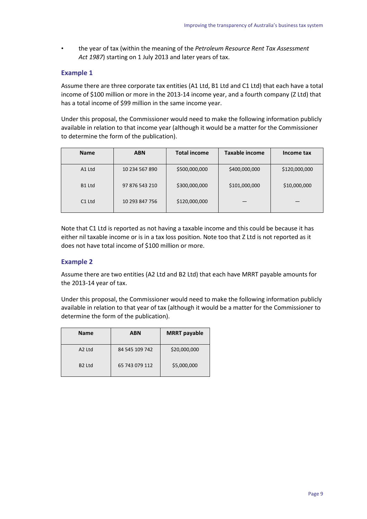• the year of tax (within the meaning of the *Petroleum Resource Rent Tax Assessment Act 1987*) starting on 1 July 2013 and later years of tax.

#### **Example 1**

Assume there are three corporate tax entities (A1 Ltd, B1 Ltd and C1 Ltd) that each have a total income of \$100 million or more in the 2013-14 income year, and a fourth company (Z Ltd) that has a total income of \$99 million in the same income year.

Under this proposal, the Commissioner would need to make the following information publicly available in relation to that income year (although it would be a matter for the Commissioner to determine the form of the publication).

| <b>Name</b>        | <b>ABN</b>     | <b>Total income</b> | <b>Taxable income</b> | Income tax    |
|--------------------|----------------|---------------------|-----------------------|---------------|
| A1 Ltd             | 10 234 567 890 | \$500,000,000       | \$400,000,000         | \$120,000,000 |
| B1 Ltd             | 97 876 543 210 | \$300,000,000       | \$101,000,000         | \$10,000,000  |
| C <sub>1</sub> Ltd | 10 293 847 756 | \$120,000,000       |                       |               |

Note that C1 Ltd is reported as not having a taxable income and this could be because it has either nil taxable income or is in a tax loss position. Note too that Z Ltd is not reported as it does not have total income of \$100 million or more.

#### **Example 2**

Assume there are two entities (A2 Ltd and B2 Ltd) that each have MRRT payable amounts for the 2013-14 year of tax.

Under this proposal, the Commissioner would need to make the following information publicly available in relation to that year of tax (although it would be a matter for the Commissioner to determine the form of the publication).

| <b>Name</b>        | ABN            | <b>MRRT</b> payable |
|--------------------|----------------|---------------------|
| A <sub>2</sub> Ltd | 84 545 109 742 | \$20,000,000        |
| B <sub>2</sub> Ltd | 65 743 079 112 | \$5,000,000         |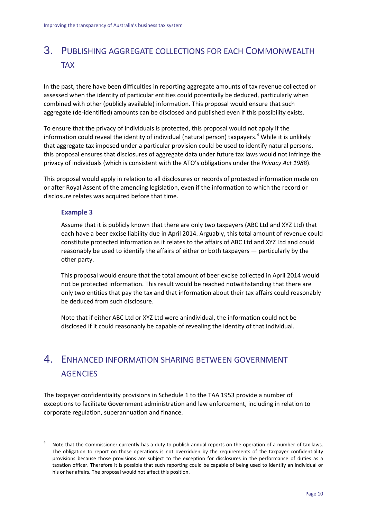# 3. PUBLISHING AGGREGATE COLLECTIONS FOR EACH COMMONWEALTH TAX

In the past, there have been difficulties in reporting aggregate amounts of tax revenue collected or assessed when the identity of particular entities could potentially be deduced, particularly when combined with other (publicly available) information. This proposal would ensure that such aggregate (de-identified) amounts can be disclosed and published even if this possibility exists.

To ensure that the privacy of individuals is protected, this proposal would not apply if the information could reveal the identity of individual (natural person) taxpayers. [4](#page-13-0) While it is unlikely that aggregate tax imposed under a particular provision could be used to identify natural persons, this proposal ensures that disclosures of aggregate data under future tax laws would not infringe the privacy of individuals (which is consistent with the ATO's obligations under the *Privacy Act 1988*).

This proposal would apply in relation to all disclosures or records of protected information made on or after Royal Assent of the amending legislation, even if the information to which the record or disclosure relates was acquired before that time.

#### **Example 3**

**.** 

Assume that it is publicly known that there are only two taxpayers (ABC Ltd and XYZ Ltd) that each have a beer excise liability due in April 2014. Arguably, this total amount of revenue could constitute protected information as it relates to the affairs of ABC Ltd and XYZ Ltd and could reasonably be used to identify the affairs of either or both taxpayers — particularly by the other party.

This proposal would ensure that the total amount of beer excise collected in April 2014 would not be protected information. This result would be reached notwithstanding that there are only two entities that pay the tax and that information about their tax affairs could reasonably be deduced from such disclosure.

Note that if either ABC Ltd or XYZ Ltd were anindividual, the information could not be disclosed if it could reasonably be capable of revealing the identity of that individual.

## 4. ENHANCED INFORMATION SHARING BETWEEN GOVERNMENT **AGENCIES**

The taxpayer confidentiality provisions in Schedule 1 to the TAA 1953 provide a number of exceptions to facilitate Government administration and law enforcement, including in relation to corporate regulation, superannuation and finance.

<span id="page-13-0"></span><sup>4</sup> Note that the Commissioner currently has a duty to publish annual reports on the operation of a number of tax laws. The obligation to report on those operations is not overridden by the requirements of the taxpayer confidentiality provisions because those provisions are subject to the exception for disclosures in the performance of duties as a taxation officer. Therefore it is possible that such reporting could be capable of being used to identify an individual or his or her affairs. The proposal would not affect this position.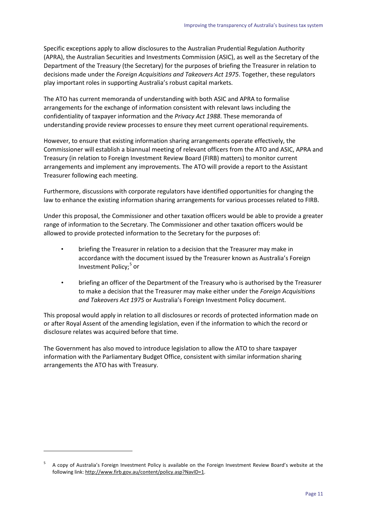Specific exceptions apply to allow disclosures to the Australian Prudential Regulation Authority (APRA), the Australian Securities and Investments Commission (ASIC), as well as the Secretary of the Department of the Treasury (the Secretary) for the purposes of briefing the Treasurer in relation to decisions made under the *Foreign Acquisitions and Takeovers Act 1975*. Together, these regulators play important roles in supporting Australia's robust capital markets.

The ATO has current memoranda of understanding with both ASIC and APRA to formalise arrangements for the exchange of information consistent with relevant laws including the confidentiality of taxpayer information and the *Privacy Act 1988*. These memoranda of understanding provide review processes to ensure they meet current operational requirements.

However, to ensure that existing information sharing arrangements operate effectively, the Commissioner will establish a biannual meeting of relevant officers from the ATO and ASIC, APRA and Treasury (in relation to Foreign Investment Review Board (FIRB) matters) to monitor current arrangements and implement any improvements. The ATO will provide a report to the Assistant Treasurer following each meeting.

Furthermore, discussions with corporate regulators have identified opportunities for changing the law to enhance the existing information sharing arrangements for various processes related to FIRB.

Under this proposal, the Commissioner and other taxation officers would be able to provide a greater range of information to the Secretary. The Commissioner and other taxation officers would be allowed to provide protected information to the Secretary for the purposes of:

- briefing the Treasurer in relation to a decision that the Treasurer may make in accordance with the document issued by the Treasurer known as Australia's Foreign Investment Policy; [5](#page-14-0) or
- briefing an officer of the Department of the Treasury who is authorised by the Treasurer to make a decision that the Treasurer may make either under the *Foreign Acquisitions and Takeovers Act 1975* or Australia's Foreign Investment Policy document.

This proposal would apply in relation to all disclosures or records of protected information made on or after Royal Assent of the amending legislation, even if the information to which the record or disclosure relates was acquired before that time.

The Government has also moved to introduce legislation to allow the ATO to share taxpayer information with the Parliamentary Budget Office, consistent with similar information sharing arrangements the ATO has with Treasury.

**.** 

<span id="page-14-0"></span><sup>5</sup> A copy of Australia's Foreign Investment Policy is available on the Foreign Investment Review Board's website at the following link[: http://www.firb.gov.au/content/policy.asp?NavID=1.](http://www.firb.gov.au/content/policy.asp?NavID=1)